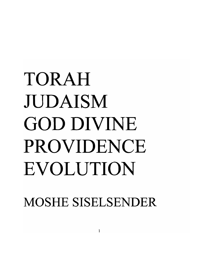## TORAH mDAISM GOD DIVINE PROVIDENCE EVOLUTION

MOSHE SISELSENDER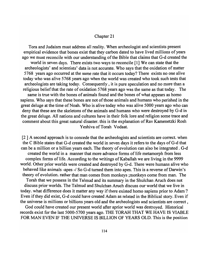## Chapter 21

Tora and Judaism must address all reality. When archeologist and scientists present empirical evidence that bones exist that they carbon dated to have lived millions of years ago we must reconcile with our understanding of the Bible that claims that G-d created the world in seven days. There exists two ways to reconcile [1] We can state that the archeologists' and scientists' data is not accurate. Who says that the oxidation of matter 5768 years ago occurred at the same rate that it occurs today? There exists no one alive today who was alive 5768 years ago when the world was created who took such tests that archeologists are taking today. Consequently, it is pure speculation and no more than a religious belief that the rate of oxidation 5768 years ago was the same as that today. The same is true with the bones of animals found and the bones of what appears as homo sapiens. Who says that these bones are not of those animals and humans who perished in the great deluge at the time of Noah. Who is alive today who was alive 5000 years ago who can deny that these are the skeletons of the animals and humans who were destroyed by G-d in the great deluge. All nations and cultures have in their folk lore and religion some trace and comment about this great natural disaster. this is the explanation of Rav Kamenetzki Rosh Yeshiva of Torah Vodaat.

[2 ] A second approach is to concede that the archeologists and scientists are correct. when the C Bible states that G-d created the world in seven days it refers to the days of G-d that can be a million or a billion years each. The theory of evolution can also be integrated. G-d created the world in a manner that more advance forms of life metamorph from less complex forms of life. According to the writings of Kaballah we are living in the 9999 world. Other prior worlds were created and destroyed by G-d. There were humans alive who behaved like animals -apes -/ So G-d turned them into apes. This is a reverse of Darwin's theory of evolution. rather that man comes from monkeys ;monkeys come from man. The Torah that we possess in the Talmud and its summary in the Shulchan Aruch does not discuss prior worlds. The Talmud and Shulchan Aruch discuss our world that we live in today. what difference does it matter any way if there existed homo sapiens prior to Adam ? Even if they did exist, G-d could have created Adam as related in the Biblical story. Even if the universe is millions or billions years old and the archeologists and scientists are correct, God could have created our present world after aprior world was destroyed. Historical

records exist for the last 5000-5700 years ago. THE TORAH THAT WE HAVE IS VIABLE FOR MAN EVEN IF THE UNIVERSE IS BILLION OF YEARS OLD. This is the position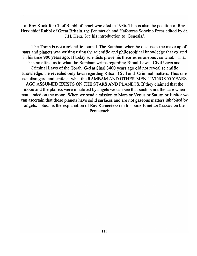of Rav Kook for Chief Rabbi of Israel who died in 1936. This is also the position of Rav Herz chief Rabbi of Great Britain. the Pentateuch and Hafotoras Soncino Press edited by dr. J .H. Herz. See his introduction to Genesis. \

The Torah is not a scientific journal. The Rambam when he discusses the make up of stars and planets was writing using the scientific and philosophical knowledge that existed in his time 900 years ago. If today scientists prove his theories erroneous . so what. That has no effect as to what the Rambam writes regarding Ritual Laws Civil Laws and Criminal Laws of the Torah. G-d at Sinai 3400 years ago did not reveal scientific knowledge. He revealed only laws regarding Ritual Civil and Criminal matters. Thus one can disregard and smile at what the RAMBAM AND OTHER MEN LIVING 900 YEARS AGO ASSUMED EXISTS ON THE STARS AND PLANETS. If they claimed that the moon and the planets were inhabited by angels we can see that such is not the case when man landed on the moon. When we send a mission to Mars or Venus or Saturn or Jupitor we can ascertain that these planets have solid surfaces and are not gaseous matters inhabited by angels. Such is the explanation of Rav Kamentezki in his book Emet LeYaakov on the Pentateuch...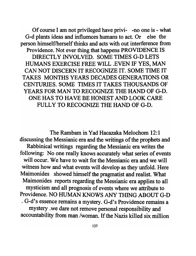Of course I am not privileged have privi- -no one is - what G-d plants ideas and influences humans to act. Or else the person himself/herself thinks and acts with out interference from Providence. Not ever thing that happens PROVIDENCE IS DIRECTLY INVOLVED. SOME TIMES G-D LETS HUMANS EXERCISE FREE WILL .EVEN IF YES, MAN CAN NOT DISCERN IT RECOGNIZE IT. SOME TIME IT TAKES MONTHS YEARS DECADES GENERATIONS OR CENTURIES. SOME TIMES IT TAKES THOUSANDS OF YEARS FOR MAN TO RECOGNIZE THE HAND OF G-D. ONE HAS TO HAVE BE HONEST AND LOOK CARE FULLY TO RECOGNIZE THE HAND OF G-D.

The Rambam in Yad Hacazaka Melochom 12:1 discussing the Messianic era and the writings of the prophets and Rabbinical writings regarding the Messianic era writes the following: No one really knows accurately what series of events will occur. We have to wait for the Messianic era and we will witness how and what events will develop as they unfold. Here Maimonides showed himself the pragmatist and realist. What Maimonides reports regarding the Messianic era applies to all mysticism and all prognosis of events where we attribute to Providence. NO HUMAN KNOWS ANY THING ABOUT G-D · G-d's essence remains a mystery. G-d's Providence remains a mystery . we dare not remove personal responsibility and accountability from man /woman. If the Nazis killed six million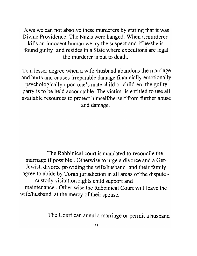Jews we can not absolve these murderers by stating that it was Divine Providence. The Nazis were hanged. When a murderer kills an innocent human we try the suspect and if he/she is found guilty and resides in a State where executions are legal the murderer is put to death.

To a lesser degree when a wife /husband abandons the marriage and hurts and causes irreparable damage financially emotionally psychologically upon one's mate child or children the guilty party is to be held accountable. The victim is entitled to use all available resources to protect himself/herself from further abuse and damage.

The Rabbinical court is mandated to reconcile the marriage if possible. Otherwise to urge a divorce and a Get-Jewish divorce providing the wife/husband and their family agree to abide by Torah jurisdiction in all areas of the dispute custody visitation rights child support and maintenance. Other wise the Rabbinical Court will leave the wife/husband at the mercy of their spouse.

The Court can annul a marriage or permit a husband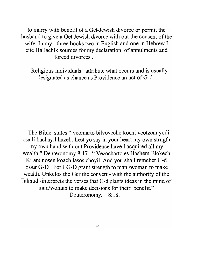to marry with benefit of a Get-Jewish divorce or permit the husband to give a Get Jewish divorce with out the consent of the wife. In my three books two in English and one in Hebrew I cite Hal1achik sources for my declaration of annulments and forced divorces.

Religious individuals attribute what occurs and is usually designated as chance as Providence an act of G-d.

The Bible states" veomarto bilvovecho kochi veotzem yodi osa Ii hachayil hazeh. Lest yo say in your heart my own strngth my own hand with out Providence have I acquired all my wealth." Deuteronomy 8:17 " Vezocharto es Hashem Elokech Ki ani nosen koach lasos choyil And you shall remeber G-d Your G-D For I G-D grant strength to man /woman to make wealth. Unkelos the Ger the convert - with the authority of the Talmud -interprets the verses that G-d plants ideas in the mind of man/woman to make decisions for their benefit." Deuteronomy. 8:18.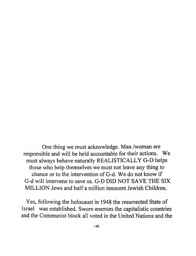One thing we must acknowledge. Man /woman are responsible and will be held accountable for their actions. We must always behave naturally REALISTICALLY G-D helps those who help themselves we must not leave any thing to chance or to the intervention of G-d. We do not know if G-d will intervene to save us. G-D DID NOT SAVE THE SIX MILLION Jews and half a million innocent Jewish Children.

Yes, following the holocaust in 1948 the resurrected State of Israel was established. Sworn enemies the capitalistic countries and the Communist block all voted in the United Nations and the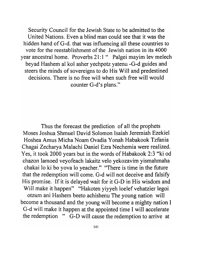Security Council for the Jewish State to be admitted to the United Nations. Even a blind man could see that it was the hidden hand of G-d. that was influencing all these countries to vote for the reestablishment of the Jewish nation in its 4000 year ancestral home. Proverbs 21:1 " Palgei mayim lev melech beyad Hashem al kol asher yechpotz yatenu -G-d guides and steers the minds of sovereigns to do His Will and predestined decisions. There is no free will when such free will would counter G-d's plans."

Thus the forecast the prediction of all the prophets Moses Joshua Shmuel David Solomon Isaiah Jeremiah Ezekiel Hoshea Amus Micha Noam Ovadia Yonah Habakook Tzfania Chagai Zecharya Malachi Daniel Ezra Nechemia were realized. Yes, it took 2000 years but in the words of Habakook 2:3 "ki od chazon lamoed veyofeach lakaitz velo yekozavim yismahmaha chakai 10 ki bo yova 10 yeacher." "There is time in the future that the redemption will come. G-d will not deceive and falsify His promise. If it is delayed wait for it G-D in His wisdom and Will make it happen" "Hakoten yiyyeh loelef vehatzier legoi otzum ani Hashem beeto achishenu The young nation will become a thousand and the young will become a mighty nation I G-d will make it happen at the appointed time I will accelerate the redemption " G-D will cause the redemption to arrive at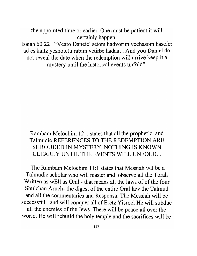the appointed time or earlier. One must be patient it will certainly happen Isaiah 60 22 . "Veato Daneiel setom hadvorim vechasom hasefer ad es kaitz yeshotetu rabim vetirbe hadaat . And you Daniel do not reveal the date when the redemption will arrive keep it a mystery until the historical events unfold"

Rambam Melochim 12:1 states that all the prophetic and Talmudic REFERENCES TO THE REDEMPTION ARE SHROUDED IN MYSTERY. NOTHING IS KNOWN CLEARLY UNTIL THE EVENTS WILL UNFOLD..

The Rambam Melochim 11:1 states that Messiah will be a Talmudic scholar who will master and observe all the Torah Written as wEll as Oral - that means all the laws of of the four Shulchan Aruch- the digest of the entire Oral law the Talmud and all the commentaries and Responsa. The Messiah will be successful and will conquer all of Eretz Yisroel He will subdue all the enemies of the Jews. There will be peace allover the world. He will rebuild the holy temple and the sacrifices will be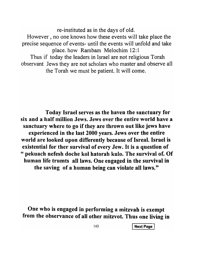re-instituted as in the days of old.

However, no one knows how these events will take place the precise sequence of events- until the events will unfold and take place. how Rambam Melochim 12:1 Thus if today the leaders in Israel are not religious Torah

observant Jews they are not scholars who master and observe all the Torah we must be patient. It will come.

Today Israel serves as the haven the sanctuary for six and a half million Jews. Jews over the entire world have a sanctuary where to go if they are thrown out like jews have experienced in the last 2000 years. Jews over the entire world are looked upon differently because of Isreal. Israel is existential for ther survival of every Jew. It is a question of " pekuach nefesh doche kol hatorah kulo. The survival of. Of human life trumts all laws. One engaged in the survival in the saving of a human being can violate all laws."

One who is engaged in performing a mitzvah is exempt from the observance of all other mitzvot. Thus one living in

143 **Next Page**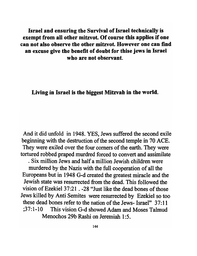Israel and ensuring the Survival of Israel technically is exempt from all other mitzvot. Of course this applies if one can not also observe the other mitzvot. However one can find an excuse give the benefit of doubt for thise jews in Israel who are not observant.

Living in Israel is the biggest Mitzvah in the world.

And it did unfold in 1948. YES, Jews suffered the second exile beginning with the destruction of the second temple in 70 ACE. They were exiled over the four comers of the earth. They were tortured robbed praped murdred forced to convert and assimilate . Six million Jews and half a million Jewish children were murdered by the Nazis with the full cooperation of all the Europeans but in 1948 G-d created the greatest miracle and the Jewish state was resurrected from the dead. This followed the vision of Ezekiel 37:21 . -28 "Just like the dead bones of those Jews killed by Anti Semites were resurrected by Ezekiel so too these dead bones refer to the nation of the Jews- Israel" 37:11 ;37: 1-10 This vision G-d showed Adam and Moses Talmud Menochos 29b Rashi on Jeremiah 1:5.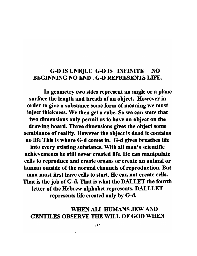## G-D IS UNIQUE G-D IS INFINITE NO BEGINNING NO END. G-D REPRESENTS LIFE.

In geometry two sides represent an angle or a plane surface the length and breath of an object. However in order to give a substance some form of meaning we must inject thickness. We then get a cube. So we can state that two dimensions only permit us to have an object on the drawing board. Three dimensions gives the object some semblance of reality. However the object is dead it contains no life This is where G-d comes in. G-d gives breathes life into every existing substance. With all man's scientific achievements he still never created life. He can manipulate cells to reproduce and create organs or create an animal or human outside of the normal channels of reproduction. But man must first have cells to start. He can not create cells. That is the job of G-d. That is what the DALLET the fourth letter of the Hebrew alphabet represents. DALLLET represents life created only by G-d.

## WHEN ALL HUMANS JEW AND GENTILES OBSERVE THE WILL OF GOD WHEN